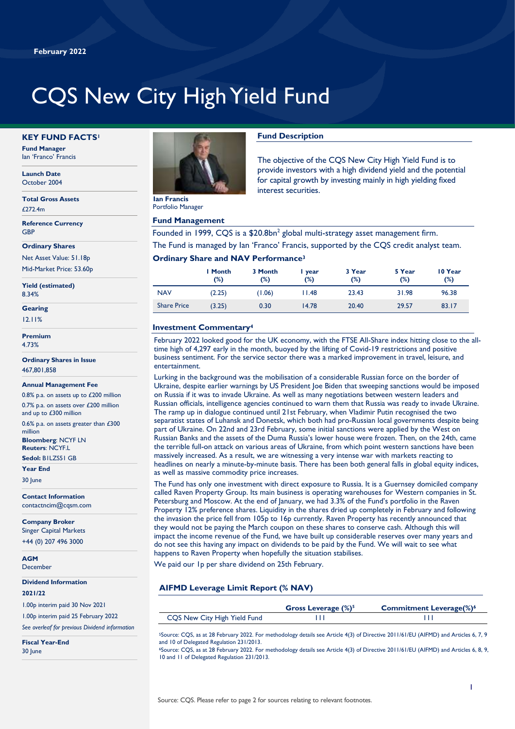# CQS New City High Yield Fund

#### **KEY FUND FACTS<sup>1</sup>**

**Fund Manager** Ian 'Franco' Francis

**Launch Date** October 2004

**Total Gross Assets**  $f$ 272.4m

**Reference Currency GRP** 

**Ordinary Shares**

Net Asset Value: 51.18p Mid-Market Price: 53.60p

**Yield (estimated)** 8.34%

**Gearing**

12.11%

**Premium** 4.73%

**Ordinary Shares in Issue** 467,801,858

#### **Annual Management Fee**

0.8% p.a. on assets up to £200 million 0.7% p.a. on assets over £200 million

and up to £300 million 0.6% p.a. on assets greater than £300 million

**Bloomberg**: NCYF LN **Reuters**: NCYF.L

**Sedol:** B1LZS51 GB **Year End**

30 June

**Contact Information** contactncim@cqsm.com

**Company Broker** Singer Capital Markets +44 (0) 207 496 3000

**AGM** December

**Dividend Information**

#### **2021/22**

1.00p interim paid 30 Nov 2021

1.00p interim paid 25 February 2022

*See overleaf for previous Dividend information*

**Fiscal Year-End** 30 June



Portfolio Manager

## **Fund Management**

Founded in 1999, CQS is a  $$20.8$ bn<sup>2</sup> global multi-strategy asset management firm. The Fund is managed by Ian 'Franco' Francis, supported by the CQS credit analyst team.

## **Ordinary Share and NAV Performance<sup>3</sup>**

|                    | I Month<br>(%) | 3 Month<br>(%) | I year<br>(%) | 3 Year<br>$(\%)$ | 5 Year<br>$(\%)$ | 10 Year<br>$(\%)$ |
|--------------------|----------------|----------------|---------------|------------------|------------------|-------------------|
| <b>NAV</b>         | (2.25)         | (1.06)         | 11.48         | 23.43            | 31.98            | 96.38             |
| <b>Share Price</b> | (3.25)         | 0.30           | 14.78         | 20.40            | 29.57            | 83.17             |

## **Investment Commentary<sup>4</sup>**

February 2022 looked good for the UK economy, with the FTSE All-Share index hitting close to the alltime high of 4,297 early in the month, buoyed by the lifting of Covid-19 restrictions and positive business sentiment. For the service sector there was a marked improvement in travel, leisure, and entertainment.

Lurking in the background was the mobilisation of a considerable Russian force on the border of Ukraine, despite earlier warnings by US President Joe Biden that sweeping sanctions would be imposed on Russia if it was to invade Ukraine. As well as many negotiations between western leaders and Russian officials, intelligence agencies continued to warn them that Russia was ready to invade Ukraine. The ramp up in dialogue continued until 21st February, when Vladimir Putin recognised the two separatist states of Luhansk and Donetsk, which both had pro-Russian local governments despite being part of Ukraine. On 22nd and 23rd February, some initial sanctions were applied by the West on Russian Banks and the assets of the Duma Russia's lower house were frozen. Then, on the 24th, came the terrible full-on attack on various areas of Ukraine, from which point western sanctions have been massively increased. As a result, we are witnessing a very intense war with markets reacting to headlines on nearly a minute-by-minute basis. There has been both general falls in global equity indices, as well as massive commodity price increases.

The Fund has only one investment with direct exposure to Russia. It is a Guernsey domiciled company called Raven Property Group. Its main business is operating warehouses for Western companies in St. Petersburg and Moscow. At the end of January, we had 3.3% of the Fund's portfolio in the Raven Property 12% preference shares. Liquidity in the shares dried up completely in February and following the invasion the price fell from 105p to 16p currently. Raven Property has recently announced that they would not be paying the March coupon on these shares to conserve cash. Although this will impact the income revenue of the Fund, we have built up considerable reserves over many years and do not see this having any impact on dividends to be paid by the Fund. We will wait to see what happens to Raven Property when hopefully the situation stabilises.

We paid our 1p per share dividend on 25th February.

## **AIFMD Leverage Limit Report (% NAV)**

|                              | Gross Leverage $(\%)^5$ | <b>Commitment Leverage(%)<sup>6</sup></b> |
|------------------------------|-------------------------|-------------------------------------------|
| CQS New City High Yield Fund |                         |                                           |
|                              |                         |                                           |

<sup>5</sup>Source: CQS, as at 28 February 2022. For methodology details see Article 4(3) of Directive 2011/61/EU (AIFMD) and Articles 6, 7, 9 and 10 of Delegated Regulation 231/2013.

<sup>6</sup>Source: CQS, as at 28 February 2022. For methodology details see Article 4(3) of Directive 2011/61/EU (AIFMD) and Articles 6, 8, 9, 10 and 11 of Delegated Regulation 231/2013.

The objective of the CQS New City High Yield Fund is to provide investors with a high dividend yield and the potential for capital growth by investing mainly in high yielding fixed interest securities.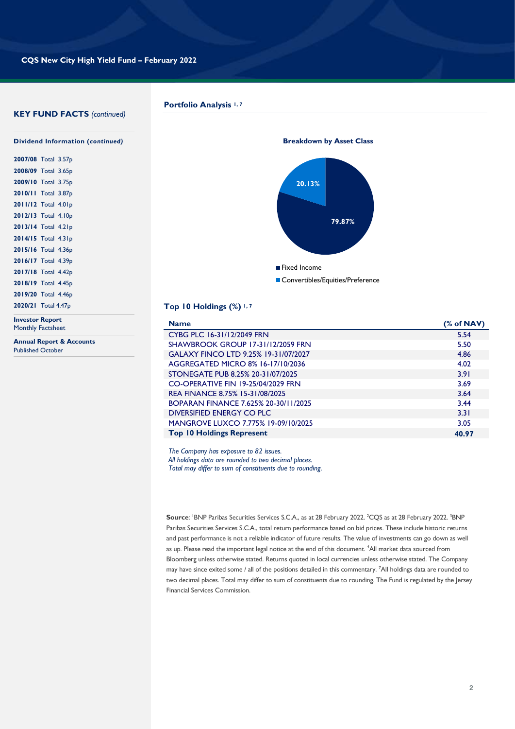#### **KEY FUND FACTS** *(continued)*

**Portfolio Analysis 1, 7**



| 2007/08 Total 3.57p |  |
|---------------------|--|
| 2008/09 Total 3.65p |  |
| 2009/10 Total 3.75p |  |
| 2010/11 Total 3.87p |  |
| 2011/12 Total 4.01p |  |
| 2012/13 Total 4.10p |  |
| 2013/14 Total 4.21p |  |
| 2014/15 Total 4.31p |  |
| 2015/16 Total 4.36p |  |
| 2016/17 Total 4.39p |  |
| 2017/18 Total 4.42p |  |
| 2018/19 Total 4.45p |  |
| 2019/20 Total 4.46p |  |
| 2020/21 Total 4.47p |  |
|                     |  |

**Investor Report** Monthly Factsheet

**Annual Report & Accounts** Published October



## **Top 10 Holdings (%) 1, 7**

| <b>Name</b>                                | % of NAV |
|--------------------------------------------|----------|
| CYBG PLC 16-31/12/2049 FRN                 | 5.54     |
| <b>SHAWBROOK GROUP 17-31/12/2059 FRN</b>   | 5.50     |
| GALAXY FINCO LTD 9.25% 19-31/07/2027       | 4.86     |
| AGGREGATED MICRO 8% 16-17/10/2036          | 4.02     |
| STONEGATE PUB 8.25% 20-31/07/2025          | 3.91     |
| CO-OPERATIVE FIN 19-25/04/2029 FRN         | 3.69     |
| REA FINANCE 8.75% 15-31/08/2025            | 3.64     |
| BOPARAN FINANCE 7.625% 20-30/11/2025       | 3.44     |
| DIVERSIFIED ENERGY CO PLC                  | 3.31     |
| <b>MANGROVE LUXCO 7.775% 19-09/10/2025</b> | 3.05     |
| <b>Top 10 Holdings Represent</b>           | 40.97    |

*The Company has exposure to 82 issues. All holdings data are rounded to two decimal places. Total may differ to sum of constituents due to rounding.*

Source: <sup>I</sup>BNP Paribas Securities Services S.C.A., as at 28 February 2022. <sup>2</sup>CQS as at 28 February 2022. <sup>3</sup>BNP Paribas Securities Services S.C.A., total return performance based on bid prices. These include historic returns and past performance is not a reliable indicator of future results. The value of investments can go down as well as up. Please read the important legal notice at the end of this document. <sup>4</sup>All market data sourced from Bloomberg unless otherwise stated. Returns quoted in local currencies unless otherwise stated. The Company may have since exited some / all of the positions detailed in this commentary. <sup>7</sup>All holdings data are rounded to two decimal places. Total may differ to sum of constituents due to rounding. The Fund is regulated by the Jersey Financial Services Commission.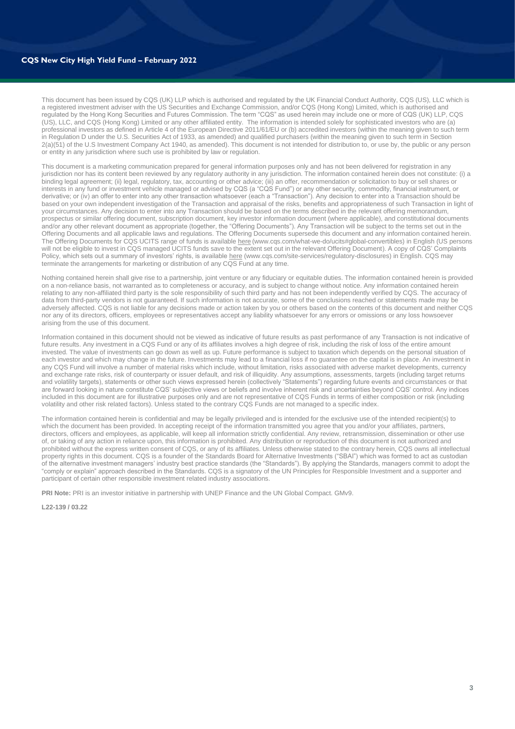#### **CQS New City High Yield Fund – February 2022**

This document has been issued by CQS (UK) LLP which is authorised and regulated by the UK Financial Conduct Authority, CQS (US), LLC which is a registered investment adviser with the US Securities and Exchange Commission, and/or CQS (Hong Kong) Limited, which is authorised and regulated by the Hong Kong Securities and Futures Commission. The term "CQS" as used herein may include one or more of CQS (UK) LLP, CQS (US), LLC, and CQS (Hong Kong) Limited or any other affiliated entity. The information is intended solely for sophisticated investors who are (a) professional investors as defined in Article 4 of the European Directive 2011/61/EU or (b) accredited investors (within the meaning given to such term In Regulation D under the U.S. Securities Act of 1933, as amended) and qualified purchasers (within the meaning given to such term in Section 2(a)(51) of the U.S Investment Company Act 1940, as amended). This document is not intended for distribution to, or use by, the public or any person or entity in any jurisdiction where such use is prohibited by law or regulation.

This document is a marketing communication prepared for general information purposes only and has not been delivered for registration in any jurisdiction nor has its content been reviewed by any regulatory authority in any jurisdiction. The information contained herein does not constitute: (i) a binding legal agreement; (ii) legal, regulatory, tax, accounting or other advice; (iii) an offer, recommendation or solicitation to buy or sell shares or interests in any fund or investment vehicle managed or advised by CQS (a "CQS Fund") or any other security, commodity, financial instrument, or derivative; or (iv) an offer to enter into any other transaction whatsoever (each a "Transaction"). Any decision to enter into a Transaction should be based on your own independent investigation of the Transaction and appraisal of the risks, benefits and appropriateness of such Transaction in light of your circumstances. Any decision to enter into any Transaction should be based on the terms described in the relevant offering memorandum, prospectus or similar offering document, subscription document, key investor information document (where applicable), and constitutional documents and/or any other relevant document as appropriate (together, the "Offering Documents"). Any Transaction will be subject to the terms set out in the Offering Documents and all applicable laws and regulations. The Offering Documents supersede this document and any information contained herein. The Offering Documents for CQS UCITS range of funds is availabl[e here](https://www.cqs.com/what-we-do/ucits) (www.cqs.com/what-we-do/ucits#global-convertibles) in English (US persons will not be eligible to invest in CQS managed UCITS funds save to the extent set out in the relevant Offering Document). A copy of CQS' Complaints Policy, which sets out a summary of investors' rights, is available [here](https://www.cqs.com/site-services/regulatory-disclosures) (www.cqs.com/site-services/regulatory-disclosures) in English. CQS may terminate the arrangements for marketing or distribution of any CQS Fund at any time.

Nothing contained herein shall give rise to a partnership, joint venture or any fiduciary or equitable duties. The information contained herein is provided on a non-reliance basis, not warranted as to completeness or accuracy, and is subject to change without notice. Any information contained herein relating to any non-affiliated third party is the sole responsibility of such third party and has not been independently verified by CQS. The accuracy of data from third-party vendors is not guaranteed. If such information is not accurate, some of the conclusions reached or statements made may be adversely affected. CQS is not liable for any decisions made or action taken by you or others based on the contents of this document and neither CQS nor any of its directors, officers, employees or representatives accept any liability whatsoever for any errors or omissions or any loss howsoever arising from the use of this document.

Information contained in this document should not be viewed as indicative of future results as past performance of any Transaction is not indicative of future results. Any investment in a CQS Fund or any of its affiliates involves a high degree of risk, including the risk of loss of the entire amount invested. The value of investments can go down as well as up. Future performance is subject to taxation which depends on the personal situation of each investor and which may change in the future. Investments may lead to a financial loss if no guarantee on the capital is in place. An investment in any CQS Fund will involve a number of material risks which include, without limitation, risks associated with adverse market developments, currency and exchange rate risks, risk of counterparty or issuer default, and risk of illiquidity. Any assumptions, assessments, targets (including target returns and volatility targets), statements or other such views expressed herein (collectively "Statements") regarding future events and circumstances or that are forward looking in nature constitute CQS' subjective views or beliefs and involve inherent risk and uncertainties beyond CQS' control. Any indices included in this document are for illustrative purposes only and are not representative of CQS Funds in terms of either composition or risk (including volatility and other risk related factors). Unless stated to the contrary CQS Funds are not managed to a specific index.

The information contained herein is confidential and may be legally privileged and is intended for the exclusive use of the intended recipient(s) to which the document has been provided. In accepting receipt of the information transmitted you agree that you and/or your affiliates, partners, directors, officers and employees, as applicable, will keep all information strictly confidential. Any review, retransmission, dissemination or other use of, or taking of any action in reliance upon, this information is prohibited. Any distribution or reproduction of this document is not authorized and prohibited without the express written consent of CQS, or any of its affiliates. Unless otherwise stated to the contrary herein, CQS owns all intellectual property rights in this document. CQS is a founder of the Standards Board for Alternative Investments ("SBAI") which was formed to act as custodian of the alternative investment managers' industry best practice standards (the "Standards"). By applying the Standards, managers commit to adopt the "comply or explain" approach described in the Standards. CQS is a signatory of the UN Principles for Responsible Investment and a supporter and participant of certain other responsible investment related industry associations.

**PRI Note:** PRI is an investor initiative in partnership with UNEP Finance and the UN Global Compact. GMv9.

**L22-139 / 03.22**